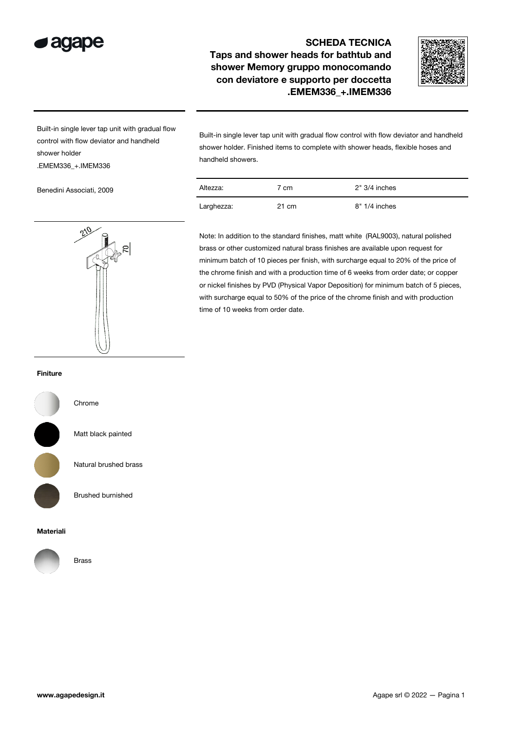

## SCHEDA TECNICA Taps and shower heads for bathtub and shower Memory gruppo monocomando con deviatore e supporto per doccetta .EMEM336\_+.IMEM336



Built-in single lever tap unit with gradual flow control with flow deviator and handheld shower holder .EMEM336\_+.IMEM336

Benedini Associati, 2009



Built-in single lever tap unit with gradual flow control with flow deviator and handheld shower holder. Finished items to complete with shower heads, flexible hoses and



Altezza: 7 cm 2" 3/4 inches Larghezza: 21 cm 8" 1/4 inches

Note: In addition to the standard finishes, matt white (RAL9003), natural polished brass or other customized natural brass finishes are available upon request for minimum batch of 10 pieces per finish, with surcharge equal to 20% of the price of the chrome finish and with a production time of 6 weeks from order date; or copper or nickel finishes by PVD (Physical Vapor Deposition) for minimum batch of 5 pieces, with surcharge equal to 50% of the price of the chrome finish and with production time of 10 weeks from order date.

## Finiture



Chrome

Matt black painted

Natural brushed brass

Brushed burnished

## Materiali



Brass